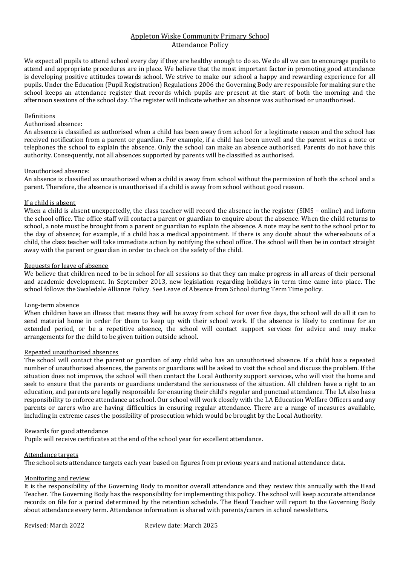# Appleton Wiske Community Primary School Attendance Policy

We expect all pupils to attend school every day if they are healthy enough to do so. We do all we can to encourage pupils to attend and appropriate procedures are in place. We believe that the most important factor in promoting good attendance is developing positive attitudes towards school. We strive to make our school a happy and rewarding experience for all pupils. Under the Education (Pupil Registration) Regulations 2006 the Governing Body are responsible for making sure the school keeps an attendance register that records which pupils are present at the start of both the morning and the afternoon sessions of the school day. The register will indicate whether an absence was authorised or unauthorised.

## Definitions

# Authorised absence:

An absence is classified as authorised when a child has been away from school for a legitimate reason and the school has received notification from a parent or guardian. For example, if a child has been unwell and the parent writes a note or telephones the school to explain the absence. Only the school can make an absence authorised. Parents do not have this authority. Consequently, not all absences supported by parents will be classified as authorised.

#### Unauthorised absence:

An absence is classified as unauthorised when a child is away from school without the permission of both the school and a parent. Therefore, the absence is unauthorised if a child is away from school without good reason.

## If a child is absent

When a child is absent unexpectedly, the class teacher will record the absence in the register (SIMS – online) and inform the school office. The office staff will contact a parent or guardian to enquire about the absence. When the child returns to school, a note must be brought from a parent or guardian to explain the absence. A note may be sent to the school prior to the day of absence; for example, if a child has a medical appointment. If there is any doubt about the whereabouts of a child, the class teacher will take immediate action by notifying the school office. The school will then be in contact straight away with the parent or guardian in order to check on the safety of the child.

#### Requests for leave of absence

We believe that children need to be in school for all sessions so that they can make progress in all areas of their personal and academic development. In September 2013, new legislation regarding holidays in term time came into place. The school follows the Swaledale Alliance Policy. See Leave of Absence from School during Term Time policy.

## Long-term absence

When children have an illness that means they will be away from school for over five days, the school will do all it can to send material home in order for them to keep up with their school work. If the absence is likely to continue for an extended period, or be a repetitive absence, the school will contact support services for advice and may make arrangements for the child to be given tuition outside school.

## Repeated unauthorised absences

The school will contact the parent or guardian of any child who has an unauthorised absence. If a child has a repeated number of unauthorised absences, the parents or guardians will be asked to visit the school and discuss the problem. If the situation does not improve, the school will then contact the Local Authority support services, who will visit the home and seek to ensure that the parents or guardians understand the seriousness of the situation. All children have a right to an education, and parents are legally responsible for ensuring their child's regular and punctual attendance. The LA also has a responsibility to enforce attendance at school. Our school will work closely with the LA Education Welfare Officers and any parents or carers who are having difficulties in ensuring regular attendance. There are a range of measures available, including in extreme cases the possibility of prosecution which would be brought by the Local Authority.

#### Rewards for good attendance

Pupils will receive certificates at the end of the school year for excellent attendance.

## Attendance targets

The school sets attendance targets each year based on figures from previous years and national attendance data.

## Monitoring and review

It is the responsibility of the Governing Body to monitor overall attendance and they review this annually with the Head Teacher. The Governing Body has the responsibility for implementing this policy. The school will keep accurate attendance records on file for a period determined by the retention schedule. The Head Teacher will report to the Governing Body about attendance every term. Attendance information is shared with parents/carers in school newsletters.